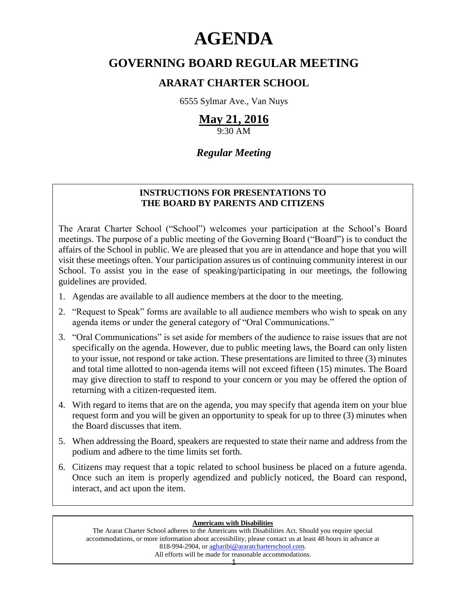# **AGENDA**

# **GOVERNING BOARD REGULAR MEETING**

# **ARARAT CHARTER SCHOOL**

6555 Sylmar Ave., Van Nuys

# **May 21, 2016**

9:30 AM

# *Regular Meeting*

## **INSTRUCTIONS FOR PRESENTATIONS TO THE BOARD BY PARENTS AND CITIZENS**

The Ararat Charter School ("School") welcomes your participation at the School's Board meetings. The purpose of a public meeting of the Governing Board ("Board") is to conduct the affairs of the School in public. We are pleased that you are in attendance and hope that you will visit these meetings often. Your participation assures us of continuing community interest in our School. To assist you in the ease of speaking/participating in our meetings, the following guidelines are provided.

- 1. Agendas are available to all audience members at the door to the meeting.
- 2. "Request to Speak" forms are available to all audience members who wish to speak on any agenda items or under the general category of "Oral Communications."
- 3. "Oral Communications" is set aside for members of the audience to raise issues that are not specifically on the agenda. However, due to public meeting laws, the Board can only listen to your issue, not respond or take action. These presentations are limited to three (3) minutes and total time allotted to non-agenda items will not exceed fifteen (15) minutes. The Board may give direction to staff to respond to your concern or you may be offered the option of returning with a citizen-requested item.
- 4. With regard to items that are on the agenda, you may specify that agenda item on your blue request form and you will be given an opportunity to speak for up to three (3) minutes when the Board discusses that item.
- 5. When addressing the Board, speakers are requested to state their name and address from the podium and adhere to the time limits set forth.
- 6. Citizens may request that a topic related to school business be placed on a future agenda. Once such an item is properly agendized and publicly noticed, the Board can respond, interact, and act upon the item.

#### **Americans with Disabilities**

The Ararat Charter School adheres to the Americans with Disabilities Act. Should you require special accommodations, or more information about accessibility, please contact us at least 48 hours in advance at 818-994-2904, or [agharibi@araratcharterschool.com.](mailto:agharibi@araratcharterschool.com)  All efforts will be made for reasonable accommodations.

1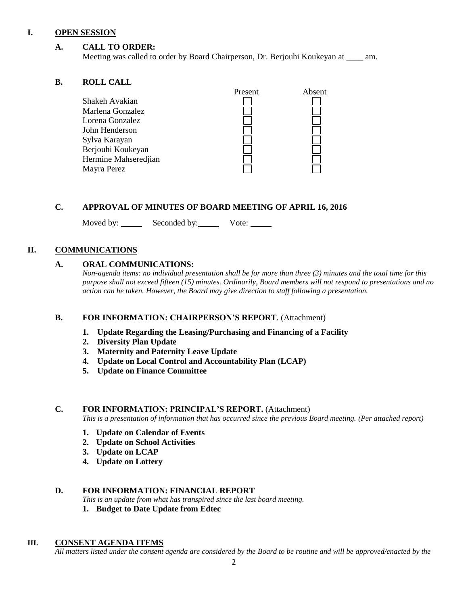#### **I. OPEN SESSION**

#### **A. CALL TO ORDER:**

Meeting was called to order by Board Chairperson, Dr. Berjouhi Koukeyan at \_\_\_\_ am.

#### **B. ROLL CALL**

|                      | Present | Absent |
|----------------------|---------|--------|
| Shakeh Avakian       |         |        |
| Marlena Gonzalez     |         |        |
| Lorena Gonzalez      |         |        |
| John Henderson       |         |        |
| Sylva Karayan        |         |        |
| Berjouhi Koukeyan    |         |        |
| Hermine Mahseredjian |         |        |
| Mayra Perez          |         |        |

#### **C. APPROVAL OF MINUTES OF BOARD MEETING OF APRIL 16, 2016**

Moved by: Seconded by: Vote:

#### **II. COMMUNICATIONS**

#### **A. ORAL COMMUNICATIONS:**

*Non-agenda items: no individual presentation shall be for more than three (3) minutes and the total time for this purpose shall not exceed fifteen (15) minutes. Ordinarily, Board members will not respond to presentations and no action can be taken. However, the Board may give direction to staff following a presentation.*

#### **B. FOR INFORMATION: CHAIRPERSON'S REPORT**. (Attachment)

- **1. Update Regarding the Leasing/Purchasing and Financing of a Facility**
- **2. Diversity Plan Update**
- **3. Maternity and Paternity Leave Update**
- **4. Update on Local Control and Accountability Plan (LCAP)**
- **5. Update on Finance Committee**

#### **C. FOR INFORMATION: PRINCIPAL'S REPORT.** (Attachment)

*This is a presentation of information that has occurred since the previous Board meeting. (Per attached report)*

- **1. Update on Calendar of Events**
- **2. Update on School Activities**
- **3. Update on LCAP**
- **4. Update on Lottery**

#### **D. FOR INFORMATION: FINANCIAL REPORT**

*This is an update from what has transpired since the last board meeting.*

**1. Budget to Date Update from Edtec**

#### **III. CONSENT AGENDA ITEMS**

*All matters listed under the consent agenda are considered by the Board to be routine and will be approved/enacted by the*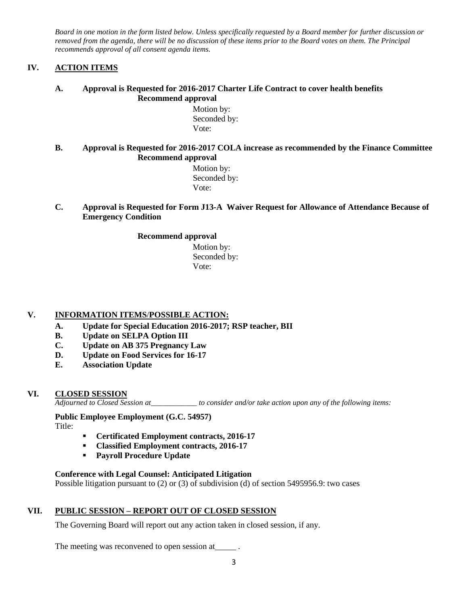*Board in one motion in the form listed below. Unless specifically requested by a Board member for further discussion or removed from the agenda, there will be no discussion of these items prior to the Board votes on them. The Principal recommends approval of all consent agenda items.*

#### **IV. ACTION ITEMS**

#### **A. Approval is Requested for 2016-2017 Charter Life Contract to cover health benefits Recommend approval**

 Motion by: Seconded by: Vote:

#### **B. Approval is Requested for 2016-2017 COLA increase as recommended by the Finance Committee Recommend approval**

 Motion by: Seconded by: Vote:

#### **C. Approval is Requested for Form J13-A Waiver Request for Allowance of Attendance Because of Emergency Condition**

#### **Recommend approval**

 Motion by: Seconded by: Vote:

#### **V. INFORMATION ITEMS**/**POSSIBLE ACTION:**

- **A. Update for Special Education 2016-2017; RSP teacher, BII**
- **B. Update on SELPA Option III**
- **C. Update on AB 375 Pregnancy Law**
- **D. Update on Food Services for 16-17**
- **E. Association Update**

#### **VI. CLOSED SESSION**

*Adjourned to Closed Session at\_\_\_\_\_\_\_\_\_\_\_\_ to consider and/or take action upon any of the following items:*

#### **Public Employee Employment (G.C. 54957)**

Title:

- **Certificated Employment contracts, 2016-17**
- **Classified Employment contracts, 2016-17**
- **Payroll Procedure Update**

#### **Conference with Legal Counsel: Anticipated Litigation**

Possible litigation pursuant to (2) or (3) of subdivision (d) of section 5495956.9: two cases

#### **VII. PUBLIC SESSION – REPORT OUT OF CLOSED SESSION**

The Governing Board will report out any action taken in closed session, if any.

The meeting was reconvened to open session at